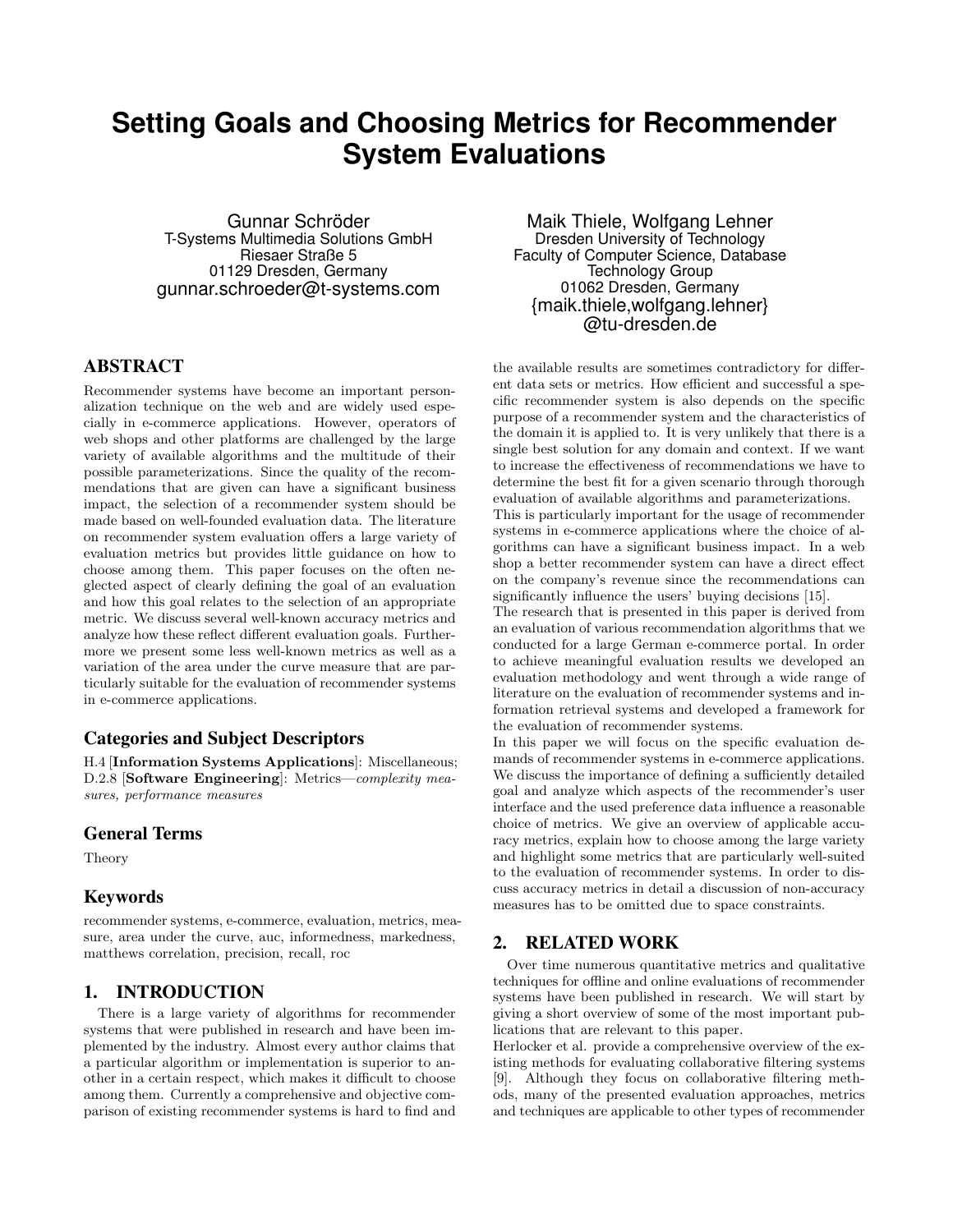# **Setting Goals and Choosing Metrics for Recommender System Evaluations**

Gunnar Schröder T-Systems Multimedia Solutions GmbH Riesaer Straße 5 01129 Dresden, Germany gunnar.schroeder@t-systems.com

#### ABSTRACT

Recommender systems have become an important personalization technique on the web and are widely used especially in e-commerce applications. However, operators of web shops and other platforms are challenged by the large variety of available algorithms and the multitude of their possible parameterizations. Since the quality of the recommendations that are given can have a significant business impact, the selection of a recommender system should be made based on well-founded evaluation data. The literature on recommender system evaluation offers a large variety of evaluation metrics but provides little guidance on how to choose among them. This paper focuses on the often neglected aspect of clearly defining the goal of an evaluation and how this goal relates to the selection of an appropriate metric. We discuss several well-known accuracy metrics and analyze how these reflect different evaluation goals. Furthermore we present some less well-known metrics as well as a variation of the area under the curve measure that are particularly suitable for the evaluation of recommender systems in e-commerce applications.

## Categories and Subject Descriptors

H.4 [Information Systems Applications]: Miscellaneous; D.2.8 [Software Engineering]: Metrics—complexity measures, performance measures

#### General Terms

Theory

## Keywords

recommender systems, e-commerce, evaluation, metrics, measure, area under the curve, auc, informedness, markedness, matthews correlation, precision, recall, roc

# 1. INTRODUCTION

There is a large variety of algorithms for recommender systems that were published in research and have been implemented by the industry. Almost every author claims that a particular algorithm or implementation is superior to another in a certain respect, which makes it difficult to choose among them. Currently a comprehensive and objective comparison of existing recommender systems is hard to find and

Maik Thiele, Wolfgang Lehner Dresden University of Technology Faculty of Computer Science, Database Technology Group 01062 Dresden, Germany {maik.thiele,wolfgang.lehner} @tu-dresden.de

the available results are sometimes contradictory for different data sets or metrics. How efficient and successful a specific recommender system is also depends on the specific purpose of a recommender system and the characteristics of the domain it is applied to. It is very unlikely that there is a single best solution for any domain and context. If we want to increase the effectiveness of recommendations we have to determine the best fit for a given scenario through thorough evaluation of available algorithms and parameterizations.

This is particularly important for the usage of recommender systems in e-commerce applications where the choice of algorithms can have a significant business impact. In a web shop a better recommender system can have a direct effect on the company's revenue since the recommendations can significantly influence the users' buying decisions [15].

The research that is presented in this paper is derived from an evaluation of various recommendation algorithms that we conducted for a large German e-commerce portal. In order to achieve meaningful evaluation results we developed an evaluation methodology and went through a wide range of literature on the evaluation of recommender systems and information retrieval systems and developed a framework for the evaluation of recommender systems.

In this paper we will focus on the specific evaluation demands of recommender systems in e-commerce applications. We discuss the importance of defining a sufficiently detailed goal and analyze which aspects of the recommender's user interface and the used preference data influence a reasonable choice of metrics. We give an overview of applicable accuracy metrics, explain how to choose among the large variety and highlight some metrics that are particularly well-suited to the evaluation of recommender systems. In order to discuss accuracy metrics in detail a discussion of non-accuracy measures has to be omitted due to space constraints.

#### 2. RELATED WORK

Over time numerous quantitative metrics and qualitative techniques for offline and online evaluations of recommender systems have been published in research. We will start by giving a short overview of some of the most important publications that are relevant to this paper.

Herlocker et al. provide a comprehensive overview of the existing methods for evaluating collaborative filtering systems [9]. Although they focus on collaborative filtering methods, many of the presented evaluation approaches, metrics and techniques are applicable to other types of recommender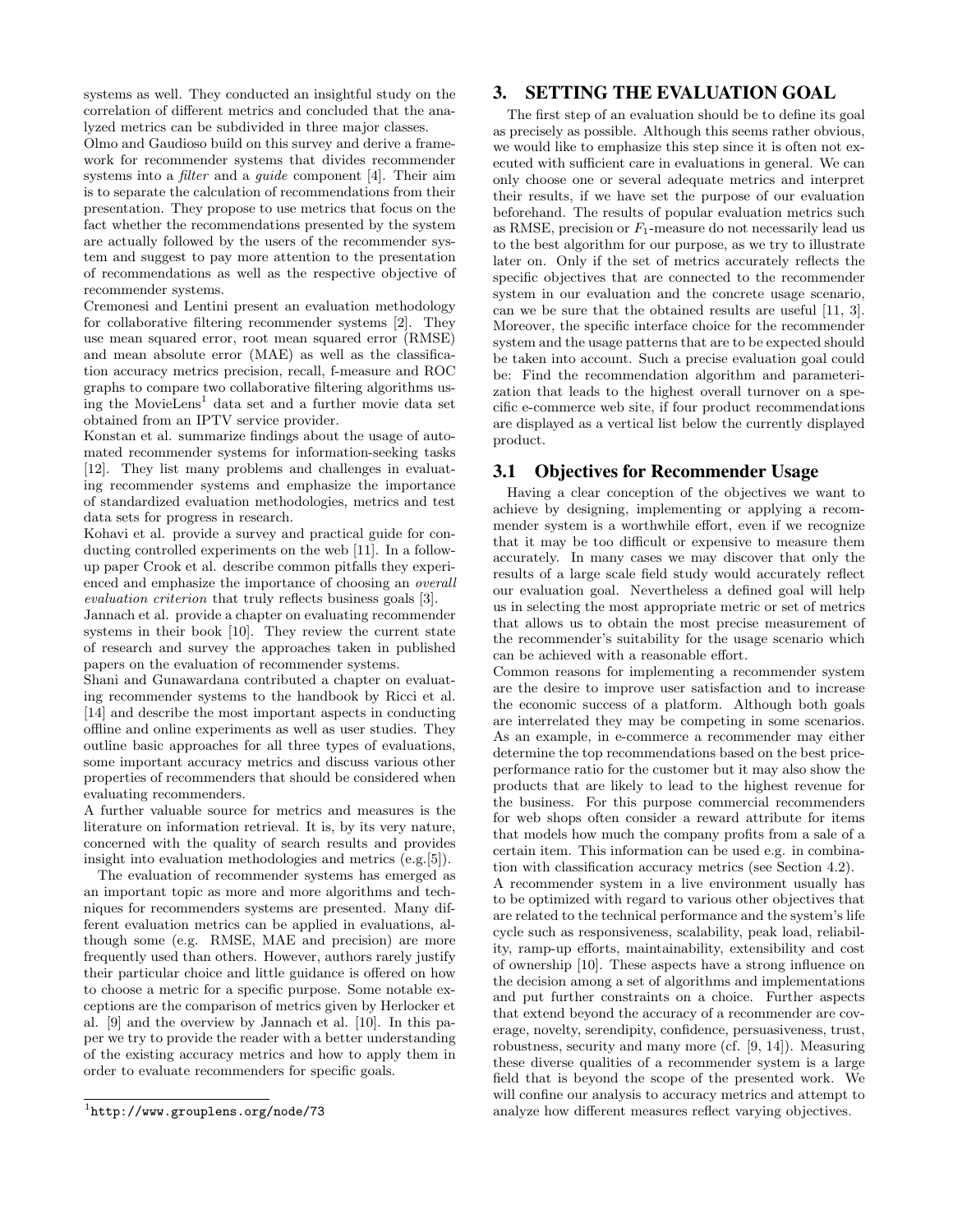systems as well. They conducted an insightful study on the correlation of different metrics and concluded that the analyzed metrics can be subdivided in three major classes.

Olmo and Gaudioso build on this survey and derive a framework for recommender systems that divides recommender systems into a *filter* and a *quide* component [4]. Their aim is to separate the calculation of recommendations from their presentation. They propose to use metrics that focus on the fact whether the recommendations presented by the system are actually followed by the users of the recommender system and suggest to pay more attention to the presentation of recommendations as well as the respective objective of recommender systems.

Cremonesi and Lentini present an evaluation methodology for collaborative filtering recommender systems [2]. They use mean squared error, root mean squared error (RMSE) and mean absolute error (MAE) as well as the classification accuracy metrics precision, recall, f-measure and ROC graphs to compare two collaborative filtering algorithms using the MovieLens<sup>1</sup> data set and a further movie data set obtained from an IPTV service provider.

Konstan et al. summarize findings about the usage of automated recommender systems for information-seeking tasks [12]. They list many problems and challenges in evaluating recommender systems and emphasize the importance of standardized evaluation methodologies, metrics and test data sets for progress in research.

Kohavi et al. provide a survey and practical guide for conducting controlled experiments on the web [11]. In a followup paper Crook et al. describe common pitfalls they experienced and emphasize the importance of choosing an overall evaluation criterion that truly reflects business goals [3].

Jannach et al. provide a chapter on evaluating recommender systems in their book [10]. They review the current state of research and survey the approaches taken in published papers on the evaluation of recommender systems.

Shani and Gunawardana contributed a chapter on evaluating recommender systems to the handbook by Ricci et al. [14] and describe the most important aspects in conducting offline and online experiments as well as user studies. They outline basic approaches for all three types of evaluations, some important accuracy metrics and discuss various other properties of recommenders that should be considered when evaluating recommenders.

A further valuable source for metrics and measures is the literature on information retrieval. It is, by its very nature, concerned with the quality of search results and provides insight into evaluation methodologies and metrics (e.g.[5]).

The evaluation of recommender systems has emerged as an important topic as more and more algorithms and techniques for recommenders systems are presented. Many different evaluation metrics can be applied in evaluations, although some (e.g. RMSE, MAE and precision) are more frequently used than others. However, authors rarely justify their particular choice and little guidance is offered on how to choose a metric for a specific purpose. Some notable exceptions are the comparison of metrics given by Herlocker et al. [9] and the overview by Jannach et al. [10]. In this paper we try to provide the reader with a better understanding of the existing accuracy metrics and how to apply them in order to evaluate recommenders for specific goals.

#### 3. SETTING THE EVALUATION GOAL

The first step of an evaluation should be to define its goal as precisely as possible. Although this seems rather obvious, we would like to emphasize this step since it is often not executed with sufficient care in evaluations in general. We can only choose one or several adequate metrics and interpret their results, if we have set the purpose of our evaluation beforehand. The results of popular evaluation metrics such as RMSE, precision or  $F_1$ -measure do not necessarily lead us to the best algorithm for our purpose, as we try to illustrate later on. Only if the set of metrics accurately reflects the specific objectives that are connected to the recommender system in our evaluation and the concrete usage scenario, can we be sure that the obtained results are useful [11, 3]. Moreover, the specific interface choice for the recommender system and the usage patterns that are to be expected should be taken into account. Such a precise evaluation goal could be: Find the recommendation algorithm and parameterization that leads to the highest overall turnover on a specific e-commerce web site, if four product recommendations are displayed as a vertical list below the currently displayed product.

#### 3.1 Objectives for Recommender Usage

Having a clear conception of the objectives we want to achieve by designing, implementing or applying a recommender system is a worthwhile effort, even if we recognize that it may be too difficult or expensive to measure them accurately. In many cases we may discover that only the results of a large scale field study would accurately reflect our evaluation goal. Nevertheless a defined goal will help us in selecting the most appropriate metric or set of metrics that allows us to obtain the most precise measurement of the recommender's suitability for the usage scenario which can be achieved with a reasonable effort.

Common reasons for implementing a recommender system are the desire to improve user satisfaction and to increase the economic success of a platform. Although both goals are interrelated they may be competing in some scenarios. As an example, in e-commerce a recommender may either determine the top recommendations based on the best priceperformance ratio for the customer but it may also show the products that are likely to lead to the highest revenue for the business. For this purpose commercial recommenders for web shops often consider a reward attribute for items that models how much the company profits from a sale of a certain item. This information can be used e.g. in combination with classification accuracy metrics (see Section 4.2).

A recommender system in a live environment usually has to be optimized with regard to various other objectives that are related to the technical performance and the system's life cycle such as responsiveness, scalability, peak load, reliability, ramp-up efforts, maintainability, extensibility and cost of ownership [10]. These aspects have a strong influence on the decision among a set of algorithms and implementations and put further constraints on a choice. Further aspects that extend beyond the accuracy of a recommender are coverage, novelty, serendipity, confidence, persuasiveness, trust, robustness, security and many more (cf. [9, 14]). Measuring these diverse qualities of a recommender system is a large field that is beyond the scope of the presented work. We will confine our analysis to accuracy metrics and attempt to analyze how different measures reflect varying objectives.

<sup>1</sup> http://www.grouplens.org/node/73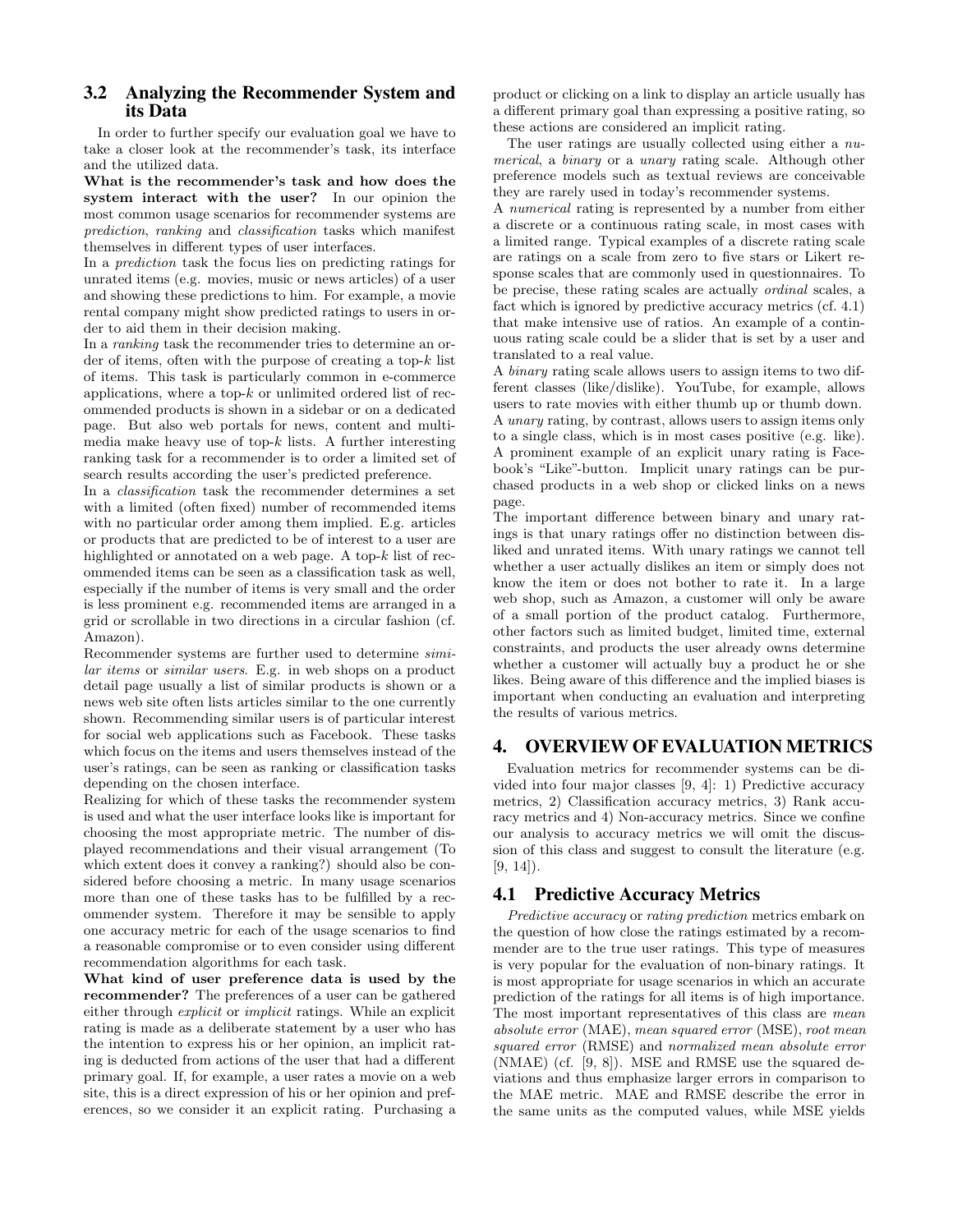## 3.2 Analyzing the Recommender System and its Data

In order to further specify our evaluation goal we have to take a closer look at the recommender's task, its interface and the utilized data.

What is the recommender's task and how does the system interact with the user? In our opinion the most common usage scenarios for recommender systems are prediction, ranking and classification tasks which manifest themselves in different types of user interfaces.

In a prediction task the focus lies on predicting ratings for unrated items (e.g. movies, music or news articles) of a user and showing these predictions to him. For example, a movie rental company might show predicted ratings to users in order to aid them in their decision making.

In a ranking task the recommender tries to determine an order of items, often with the purpose of creating a top- $k$  list of items. This task is particularly common in e-commerce applications, where a top- $k$  or unlimited ordered list of recommended products is shown in a sidebar or on a dedicated page. But also web portals for news, content and multimedia make heavy use of top- $k$  lists. A further interesting ranking task for a recommender is to order a limited set of search results according the user's predicted preference.

In a classification task the recommender determines a set with a limited (often fixed) number of recommended items with no particular order among them implied. E.g. articles or products that are predicted to be of interest to a user are highlighted or annotated on a web page. A top- $k$  list of recommended items can be seen as a classification task as well, especially if the number of items is very small and the order is less prominent e.g. recommended items are arranged in a grid or scrollable in two directions in a circular fashion (cf. Amazon).

Recommender systems are further used to determine similar items or similar users. E.g. in web shops on a product detail page usually a list of similar products is shown or a news web site often lists articles similar to the one currently shown. Recommending similar users is of particular interest for social web applications such as Facebook. These tasks which focus on the items and users themselves instead of the user's ratings, can be seen as ranking or classification tasks depending on the chosen interface.

Realizing for which of these tasks the recommender system is used and what the user interface looks like is important for choosing the most appropriate metric. The number of displayed recommendations and their visual arrangement (To which extent does it convey a ranking?) should also be considered before choosing a metric. In many usage scenarios more than one of these tasks has to be fulfilled by a recommender system. Therefore it may be sensible to apply one accuracy metric for each of the usage scenarios to find a reasonable compromise or to even consider using different recommendation algorithms for each task.

What kind of user preference data is used by the recommender? The preferences of a user can be gathered either through explicit or implicit ratings. While an explicit rating is made as a deliberate statement by a user who has the intention to express his or her opinion, an implicit rating is deducted from actions of the user that had a different primary goal. If, for example, a user rates a movie on a web site, this is a direct expression of his or her opinion and preferences, so we consider it an explicit rating. Purchasing a

product or clicking on a link to display an article usually has a different primary goal than expressing a positive rating, so these actions are considered an implicit rating.

The user ratings are usually collected using either a numerical, a binary or a unary rating scale. Although other preference models such as textual reviews are conceivable they are rarely used in today's recommender systems.

A numerical rating is represented by a number from either a discrete or a continuous rating scale, in most cases with a limited range. Typical examples of a discrete rating scale are ratings on a scale from zero to five stars or Likert response scales that are commonly used in questionnaires. To be precise, these rating scales are actually ordinal scales, a fact which is ignored by predictive accuracy metrics (cf. 4.1) that make intensive use of ratios. An example of a continuous rating scale could be a slider that is set by a user and translated to a real value.

A binary rating scale allows users to assign items to two different classes (like/dislike). YouTube, for example, allows users to rate movies with either thumb up or thumb down. A unary rating, by contrast, allows users to assign items only to a single class, which is in most cases positive (e.g. like). A prominent example of an explicit unary rating is Facebook's "Like"-button. Implicit unary ratings can be purchased products in a web shop or clicked links on a news page.

The important difference between binary and unary ratings is that unary ratings offer no distinction between disliked and unrated items. With unary ratings we cannot tell whether a user actually dislikes an item or simply does not know the item or does not bother to rate it. In a large web shop, such as Amazon, a customer will only be aware of a small portion of the product catalog. Furthermore, other factors such as limited budget, limited time, external constraints, and products the user already owns determine whether a customer will actually buy a product he or she likes. Being aware of this difference and the implied biases is important when conducting an evaluation and interpreting the results of various metrics.

## 4. OVERVIEW OF EVALUATION METRICS

Evaluation metrics for recommender systems can be divided into four major classes [9, 4]: 1) Predictive accuracy metrics, 2) Classification accuracy metrics, 3) Rank accuracy metrics and 4) Non-accuracy metrics. Since we confine our analysis to accuracy metrics we will omit the discussion of this class and suggest to consult the literature (e.g.  $[9, 14]$ .

## 4.1 Predictive Accuracy Metrics

Predictive accuracy or rating prediction metrics embark on the question of how close the ratings estimated by a recommender are to the true user ratings. This type of measures is very popular for the evaluation of non-binary ratings. It is most appropriate for usage scenarios in which an accurate prediction of the ratings for all items is of high importance. The most important representatives of this class are mean absolute error (MAE), mean squared error (MSE), root mean squared error (RMSE) and normalized mean absolute error (NMAE) (cf. [9, 8]). MSE and RMSE use the squared deviations and thus emphasize larger errors in comparison to the MAE metric. MAE and RMSE describe the error in the same units as the computed values, while MSE yields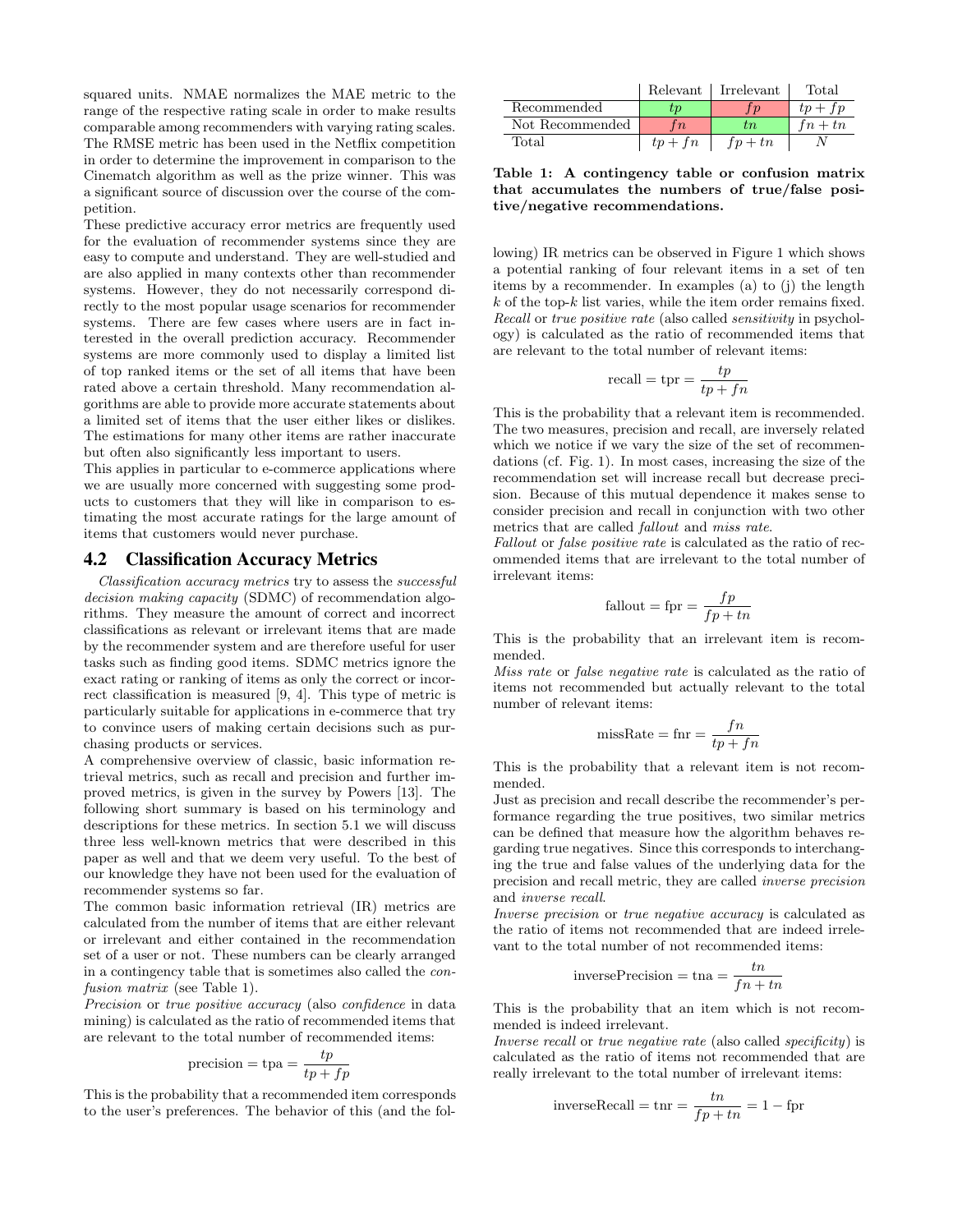squared units. NMAE normalizes the MAE metric to the range of the respective rating scale in order to make results comparable among recommenders with varying rating scales. The RMSE metric has been used in the Netflix competition in order to determine the improvement in comparison to the Cinematch algorithm as well as the prize winner. This was a significant source of discussion over the course of the competition.

These predictive accuracy error metrics are frequently used for the evaluation of recommender systems since they are easy to compute and understand. They are well-studied and are also applied in many contexts other than recommender systems. However, they do not necessarily correspond directly to the most popular usage scenarios for recommender systems. There are few cases where users are in fact interested in the overall prediction accuracy. Recommender systems are more commonly used to display a limited list of top ranked items or the set of all items that have been rated above a certain threshold. Many recommendation algorithms are able to provide more accurate statements about a limited set of items that the user either likes or dislikes. The estimations for many other items are rather inaccurate but often also significantly less important to users.

This applies in particular to e-commerce applications where we are usually more concerned with suggesting some products to customers that they will like in comparison to estimating the most accurate ratings for the large amount of items that customers would never purchase.

#### 4.2 Classification Accuracy Metrics

Classification accuracy metrics try to assess the successful decision making capacity (SDMC) of recommendation algorithms. They measure the amount of correct and incorrect classifications as relevant or irrelevant items that are made by the recommender system and are therefore useful for user tasks such as finding good items. SDMC metrics ignore the exact rating or ranking of items as only the correct or incorrect classification is measured [9, 4]. This type of metric is particularly suitable for applications in e-commerce that try to convince users of making certain decisions such as purchasing products or services.

A comprehensive overview of classic, basic information retrieval metrics, such as recall and precision and further improved metrics, is given in the survey by Powers [13]. The following short summary is based on his terminology and descriptions for these metrics. In section 5.1 we will discuss three less well-known metrics that were described in this paper as well and that we deem very useful. To the best of our knowledge they have not been used for the evaluation of recommender systems so far.

The common basic information retrieval (IR) metrics are calculated from the number of items that are either relevant or irrelevant and either contained in the recommendation set of a user or not. These numbers can be clearly arranged in a contingency table that is sometimes also called the confusion matrix (see Table 1).

Precision or true positive accuracy (also confidence in data mining) is calculated as the ratio of recommended items that are relevant to the total number of recommended items:

$$
precision = \text{tpa} = \frac{tp}{tp + fp}
$$

This is the probability that a recommended item corresponds to the user's preferences. The behavior of this (and the fol-

|                 |           | Relevant   Irrelevant | Total     |
|-----------------|-----------|-----------------------|-----------|
| Recommended     | тn        |                       | $tp + fp$ |
| Not Recommended | $\bar{n}$ | tn.                   | $fn+tn$   |
| Total           | fn<br>tp  | $fn + tn$             |           |

Table 1: A contingency table or confusion matrix that accumulates the numbers of true/false positive/negative recommendations.

lowing) IR metrics can be observed in Figure 1 which shows a potential ranking of four relevant items in a set of ten items by a recommender. In examples (a) to (j) the length  $k$  of the top- $k$  list varies, while the item order remains fixed. Recall or true positive rate (also called *sensitivity* in psychology) is calculated as the ratio of recommended items that are relevant to the total number of relevant items:

$$
recall = \text{tpr} = \frac{tp}{tp + fn}
$$

This is the probability that a relevant item is recommended. The two measures, precision and recall, are inversely related which we notice if we vary the size of the set of recommendations (cf. Fig. 1). In most cases, increasing the size of the recommendation set will increase recall but decrease precision. Because of this mutual dependence it makes sense to consider precision and recall in conjunction with two other metrics that are called fallout and miss rate.

Fallout or false positive rate is calculated as the ratio of recommended items that are irrelevant to the total number of irrelevant items:

$$
fallout = fpr = \frac{fp}{fp + tn}
$$

This is the probability that an irrelevant item is recommended.

Miss rate or false negative rate is calculated as the ratio of items not recommended but actually relevant to the total number of relevant items:

$$
missRate = \text{fnr} = \frac{fn}{tp + fn}
$$

This is the probability that a relevant item is not recommended.

Just as precision and recall describe the recommender's performance regarding the true positives, two similar metrics can be defined that measure how the algorithm behaves regarding true negatives. Since this corresponds to interchanging the true and false values of the underlying data for the precision and recall metric, they are called inverse precision and inverse recall.

Inverse precision or true negative accuracy is calculated as the ratio of items not recommended that are indeed irrelevant to the total number of not recommended items:

inverse
$$
inversePrecision = \tan = \frac{tn}{fn + tn}
$$

This is the probability that an item which is not recommended is indeed irrelevant.

Inverse recall or true negative rate (also called specificity) is calculated as the ratio of items not recommended that are really irrelevant to the total number of irrelevant items:

inverseRecall = 
$$
\text{tnr} = \frac{tn}{fp + tn} = 1 - \text{fpr}
$$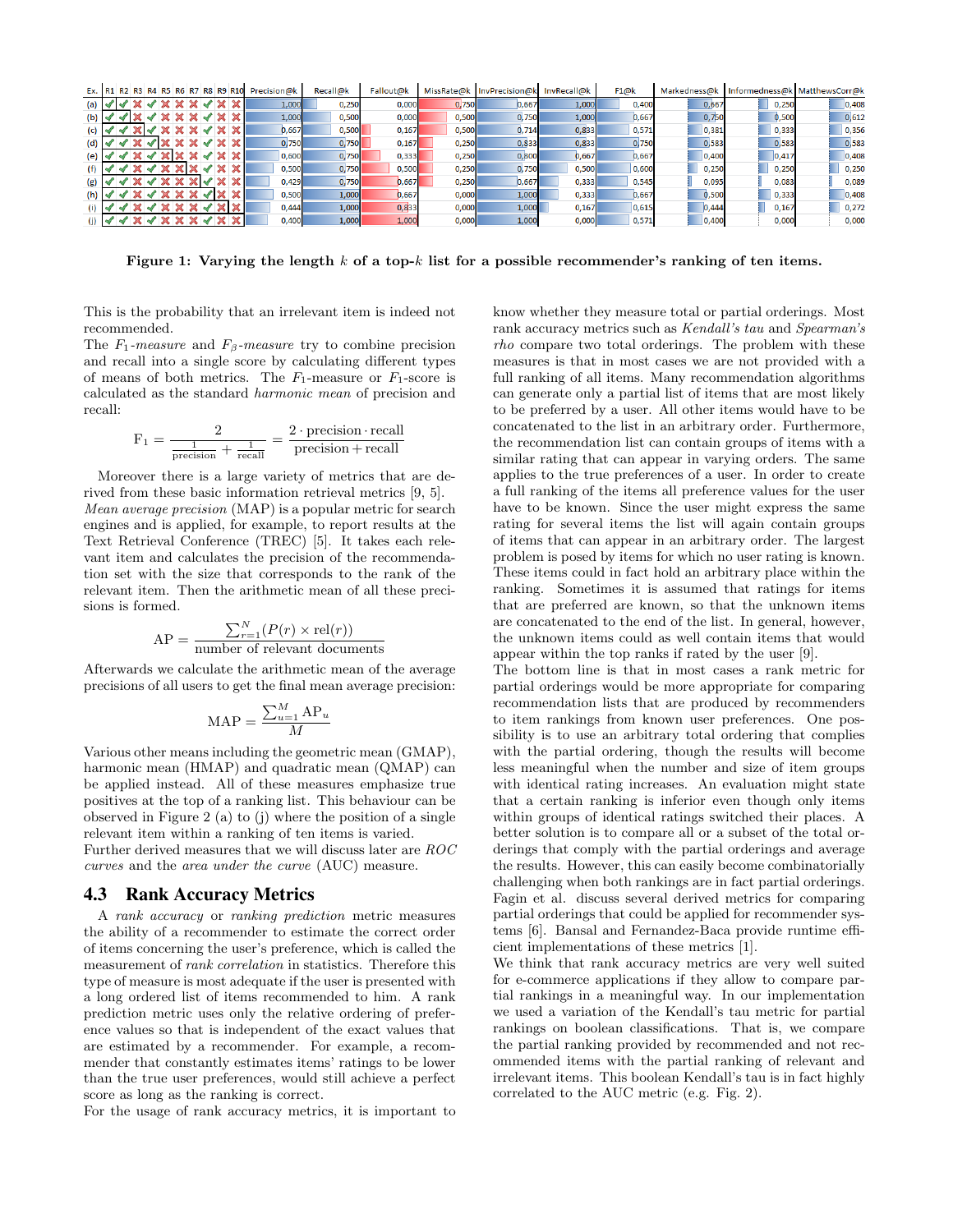|                |  |                       |  | Ex. R1 R2 R3 R4 R5 R6 R7 R8 R9 R10 | Precision@k | Recall@k | Fallout@k | MissRate@k | InvPrecision@k InvRecall@k |       | F1@k  | Markedness@k |       | Informedness@k MatthewsCorr@k |
|----------------|--|-----------------------|--|------------------------------------|-------------|----------|-----------|------------|----------------------------|-------|-------|--------------|-------|-------------------------------|
| (a)            |  |                       |  |                                    | 1.000       | 0.250    | 0.000     | 0.750      | 0.667                      | 1,000 | 0.400 | 0,667        | 0.250 | 0,408                         |
| $(b)$ $\sim$   |  |                       |  |                                    | 1,000       | 0,500    | 0.000     | 0.500      | 0,750                      | 1,000 | 0.667 | 0,750        | 0,500 | 0,612                         |
|                |  |                       |  |                                    | 0.667       | 0.500    | 0.167     | 0.500      | 0.714                      | 0,833 | 0,571 | 0,381        | 0,333 | 0,356                         |
| (d) $\sqrt{ }$ |  | $\sim$ X $\sim$ X X X |  |                                    | 0.750       | 0.750    | 0.167     | 0.250      | 0,833                      | 0,833 | 0.750 | 0,583        | 0,583 | 0,583                         |
|                |  | $\blacktriangleleft$  |  |                                    | 0.600       | 0.750    | 0.333     | 0.250      | 0.800                      | 0.667 | 0.667 | 0,400        | 0.417 | 0,408                         |
|                |  | $\blacktriangleleft$  |  |                                    | 0.500       | 0.750    | 0.500     | 0.250      | 0,750                      | 0.500 | 0.600 | 0,250        | 0.250 | 0,250                         |
| (g)            |  | $\sqrt{X}$            |  |                                    | 0.429       | 0.750    | 0.667     | 0.250      | 0.667                      | 0.333 | 0.545 | 0.095        | 0.083 | 0.089                         |
|                |  |                       |  |                                    | 0,500       | 1,000    | 0.667     | 0,000      | 1,000                      | 0,333 | 0.667 | 0,500        | 0,333 | 0,408                         |
|                |  |                       |  |                                    | 0.444       | 1,000    | 0.833     | 0,000      | 1,000                      | 0.167 | 0,615 | 0.444        | 0.167 | 0,272                         |
|                |  |                       |  |                                    | 0.400       | 1,000    | 1,000     | 0,000      | 1,000                      | 0,000 | 0,571 | 0,400        | 0.000 | 0,000                         |

Figure 1: Varying the length k of a top-k list for a possible recommender's ranking of ten items.

This is the probability that an irrelevant item is indeed not recommended.

The  $F_1$ -measure and  $F_8$ -measure try to combine precision and recall into a single score by calculating different types of means of both metrics. The  $F_1$ -measure or  $F_1$ -score is calculated as the standard harmonic mean of precision and recall:

$$
F_1 = \frac{2}{\frac{1}{\text{precision}} + \frac{1}{\text{recall}}} = \frac{2 \cdot \text{precision} \cdot \text{recall}}{\text{precision} + \text{recall}}
$$

Moreover there is a large variety of metrics that are derived from these basic information retrieval metrics [9, 5]. Mean average precision (MAP) is a popular metric for search engines and is applied, for example, to report results at the Text Retrieval Conference (TREC) [5]. It takes each relevant item and calculates the precision of the recommendation set with the size that corresponds to the rank of the relevant item. Then the arithmetic mean of all these precisions is formed.

AP = 
$$
\frac{\sum_{r=1}^{N} (P(r) \times rel(r))}{\text{number of relevant documents}}
$$

Afterwards we calculate the arithmetic mean of the average precisions of all users to get the final mean average precision:

$$
MAP = \frac{\sum_{u=1}^{M} AP_u}{M}
$$

Various other means including the geometric mean (GMAP), harmonic mean (HMAP) and quadratic mean (QMAP) can be applied instead. All of these measures emphasize true positives at the top of a ranking list. This behaviour can be observed in Figure 2 (a) to (j) where the position of a single relevant item within a ranking of ten items is varied. Further derived measures that we will discuss later are ROC curves and the area under the curve (AUC) measure.

#### 4.3 Rank Accuracy Metrics

A rank accuracy or ranking prediction metric measures the ability of a recommender to estimate the correct order of items concerning the user's preference, which is called the measurement of rank correlation in statistics. Therefore this type of measure is most adequate if the user is presented with a long ordered list of items recommended to him. A rank prediction metric uses only the relative ordering of preference values so that is independent of the exact values that are estimated by a recommender. For example, a recommender that constantly estimates items' ratings to be lower than the true user preferences, would still achieve a perfect score as long as the ranking is correct.

For the usage of rank accuracy metrics, it is important to

know whether they measure total or partial orderings. Most rank accuracy metrics such as Kendall's tau and Spearman's rho compare two total orderings. The problem with these measures is that in most cases we are not provided with a full ranking of all items. Many recommendation algorithms can generate only a partial list of items that are most likely to be preferred by a user. All other items would have to be concatenated to the list in an arbitrary order. Furthermore, the recommendation list can contain groups of items with a similar rating that can appear in varying orders. The same applies to the true preferences of a user. In order to create a full ranking of the items all preference values for the user have to be known. Since the user might express the same rating for several items the list will again contain groups of items that can appear in an arbitrary order. The largest problem is posed by items for which no user rating is known. These items could in fact hold an arbitrary place within the ranking. Sometimes it is assumed that ratings for items that are preferred are known, so that the unknown items are concatenated to the end of the list. In general, however, the unknown items could as well contain items that would appear within the top ranks if rated by the user [9].

The bottom line is that in most cases a rank metric for partial orderings would be more appropriate for comparing recommendation lists that are produced by recommenders to item rankings from known user preferences. One possibility is to use an arbitrary total ordering that complies with the partial ordering, though the results will become less meaningful when the number and size of item groups with identical rating increases. An evaluation might state that a certain ranking is inferior even though only items within groups of identical ratings switched their places. A better solution is to compare all or a subset of the total orderings that comply with the partial orderings and average the results. However, this can easily become combinatorially challenging when both rankings are in fact partial orderings. Fagin et al. discuss several derived metrics for comparing partial orderings that could be applied for recommender systems [6]. Bansal and Fernandez-Baca provide runtime efficient implementations of these metrics [1].

We think that rank accuracy metrics are very well suited for e-commerce applications if they allow to compare partial rankings in a meaningful way. In our implementation we used a variation of the Kendall's tau metric for partial rankings on boolean classifications. That is, we compare the partial ranking provided by recommended and not recommended items with the partial ranking of relevant and irrelevant items. This boolean Kendall's tau is in fact highly correlated to the AUC metric (e.g. Fig. 2).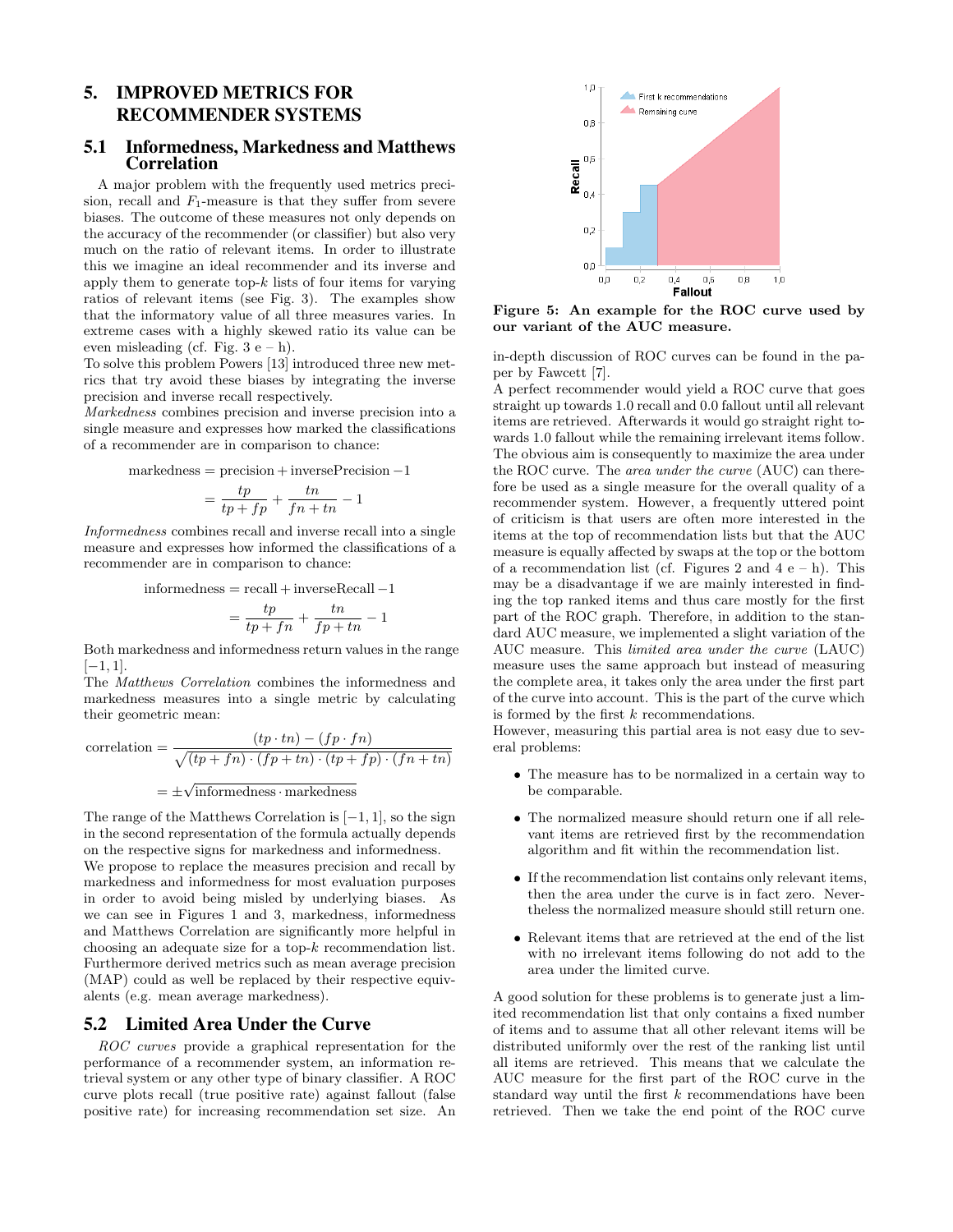# 5. IMPROVED METRICS FOR RECOMMENDER SYSTEMS

#### 5.1 Informedness, Markedness and Matthews Correlation

A major problem with the frequently used metrics precision, recall and  $F_1$ -measure is that they suffer from severe biases. The outcome of these measures not only depends on the accuracy of the recommender (or classifier) but also very much on the ratio of relevant items. In order to illustrate this we imagine an ideal recommender and its inverse and apply them to generate top- $k$  lists of four items for varying ratios of relevant items (see Fig. 3). The examples show that the informatory value of all three measures varies. In extreme cases with a highly skewed ratio its value can be even misleading (cf. Fig.  $3 e - h$ ).

To solve this problem Powers [13] introduced three new metrics that try avoid these biases by integrating the inverse precision and inverse recall respectively.

Markedness combines precision and inverse precision into a single measure and expresses how marked the classifications of a recommender are in comparison to chance:

 $markedness = precision + inversePrecision - 1$ 

$$
= \frac{tp}{tp+fp} + \frac{tn}{fn+tn} - 1
$$

Informedness combines recall and inverse recall into a single measure and expresses how informed the classifications of a recommender are in comparison to chance:

 $informedness = recall + inverseRecall -1$ 

$$
= \frac{tp}{tp+fn} + \frac{tn}{fp+tn} - 1
$$

Both markedness and informedness return values in the range  $[-1, 1].$ 

The Matthews Correlation combines the informedness and markedness measures into a single metric by calculating their geometric mean:

correlation = 
$$
\frac{(tp \cdot tn) - (fp \cdot fn)}{\sqrt{(tp + fn) \cdot (fp + tn) \cdot (tp + fp) \cdot (fn + tn)}}
$$

$$
= \pm \sqrt{\text{informedness} \cdot \text{markedness}}
$$

The range of the Matthews Correlation is  $[-1, 1]$ , so the sign in the second representation of the formula actually depends on the respective signs for markedness and informedness. We propose to replace the measures precision and recall by

markedness and informedness for most evaluation purposes in order to avoid being misled by underlying biases. As we can see in Figures 1 and 3, markedness, informedness and Matthews Correlation are significantly more helpful in choosing an adequate size for a top-k recommendation list. Furthermore derived metrics such as mean average precision (MAP) could as well be replaced by their respective equivalents (e.g. mean average markedness).

#### 5.2 Limited Area Under the Curve

ROC curves provide a graphical representation for the performance of a recommender system, an information retrieval system or any other type of binary classifier. A ROC curve plots recall (true positive rate) against fallout (false positive rate) for increasing recommendation set size. An



Figure 5: An example for the ROC curve used by our variant of the AUC measure.

in-depth discussion of ROC curves can be found in the paper by Fawcett [7].

A perfect recommender would yield a ROC curve that goes straight up towards 1.0 recall and 0.0 fallout until all relevant items are retrieved. Afterwards it would go straight right towards 1.0 fallout while the remaining irrelevant items follow. The obvious aim is consequently to maximize the area under the ROC curve. The area under the curve (AUC) can therefore be used as a single measure for the overall quality of a recommender system. However, a frequently uttered point of criticism is that users are often more interested in the items at the top of recommendation lists but that the AUC measure is equally affected by swaps at the top or the bottom of a recommendation list (cf. Figures 2 and  $4 e - h$ ). This may be a disadvantage if we are mainly interested in finding the top ranked items and thus care mostly for the first part of the ROC graph. Therefore, in addition to the standard AUC measure, we implemented a slight variation of the AUC measure. This limited area under the curve (LAUC) measure uses the same approach but instead of measuring the complete area, it takes only the area under the first part of the curve into account. This is the part of the curve which is formed by the first  $k$  recommendations.

However, measuring this partial area is not easy due to several problems:

- The measure has to be normalized in a certain way to be comparable.
- The normalized measure should return one if all relevant items are retrieved first by the recommendation algorithm and fit within the recommendation list.
- If the recommendation list contains only relevant items, then the area under the curve is in fact zero. Nevertheless the normalized measure should still return one.
- Relevant items that are retrieved at the end of the list with no irrelevant items following do not add to the area under the limited curve.

A good solution for these problems is to generate just a limited recommendation list that only contains a fixed number of items and to assume that all other relevant items will be distributed uniformly over the rest of the ranking list until all items are retrieved. This means that we calculate the AUC measure for the first part of the ROC curve in the standard way until the first  $k$  recommendations have been retrieved. Then we take the end point of the ROC curve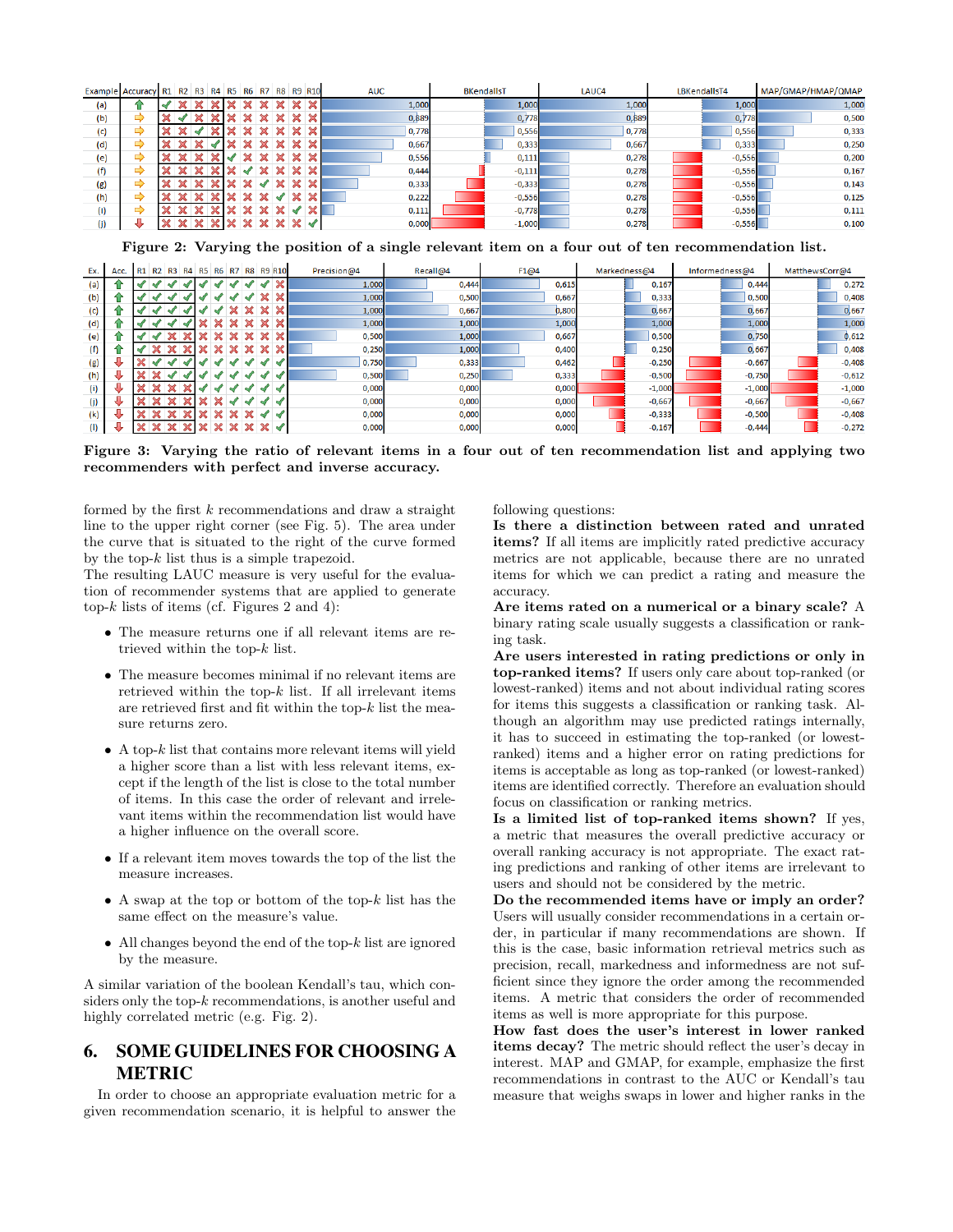| Example Accuracy R1 R2 R3 R4 R5 R6 R7 |    |  |  |  |  | R8 R9 R10 | <b>AUC</b> | <b>BKendallsT</b> | LAUC4 | LBKendallsT4 | MAP/GMAP/HMAP/QMAP |
|---------------------------------------|----|--|--|--|--|-----------|------------|-------------------|-------|--------------|--------------------|
| (a)                                   |    |  |  |  |  |           | 1,000      | 1,000             | 1,000 | 1,000        | 1,000              |
| (b)                                   | c  |  |  |  |  |           | 0,889      | 0,778             | 0,889 | 0,778        | 0,500              |
| (c)                                   | E) |  |  |  |  |           | 0,778      | 0,556             | 0,778 | 0,556        | 0,333              |
| (d)                                   |    |  |  |  |  |           | 0,667      | 0,333             | 0,667 | 0,333        | 0,250              |
| (e)                                   | ≏  |  |  |  |  |           | 0,556      | 0,111             | 0,278 | $-0,556$     | 0,200              |
| (f)                                   |    |  |  |  |  |           | 0,444      | $-0,111$          | 0,278 | $-0,556$     | 0,167              |
| (g)                                   |    |  |  |  |  |           | 0,333      | $-0,333$          | 0,278 | $-0,556$     | 0,143              |
| (h)                                   | −  |  |  |  |  |           | 0,222      | $-0,556$          | 0,278 | $-0,556$     | 0,125              |
| (i)                                   |    |  |  |  |  |           | 0,111      | $-0,778$          | 0,278 | $-0,556$     | 0,111              |
| (j)                                   |    |  |  |  |  |           | 0,000      | $-1,000$          | 0,278 | $-0,556$     | 0,100              |

Figure 2: Varying the position of a single relevant item on a four out of ten recommendation list.

| Ex. | Acc. | R1 R2 R3 R4 R5 R6 R7 |   |  |  | R8 | <b>R9 R10</b> | Precision@4 | Recall@4 | F1@4  | Markedness@4 | Informedness@4 | MatthewsCorr@4 |
|-----|------|----------------------|---|--|--|----|---------------|-------------|----------|-------|--------------|----------------|----------------|
| (a) |      | M                    |   |  |  |    |               | 1,000       | 0,444    | 0,615 | 0,167        | 0,444          | 0,272          |
| (b) |      |                      |   |  |  |    |               | 1,000       | 0,500    | 0.667 | 0,333        | 0,500          | 0.408          |
| (c) |      |                      |   |  |  |    |               | 1,000       | 0,667    | 0,800 | 0,667        | 0,667          | 0.667          |
| (d) |      |                      |   |  |  |    |               | 1,000       | 1,000    | 1,000 | 1,000        | 1,000          | 1,000          |
| (e) |      |                      |   |  |  |    |               | 0.500       | 1,000    | 0.667 | 0,500        | 0,750          | 0,612          |
| (f) |      |                      |   |  |  |    |               | 0,250       | 1,000    | 0,400 | 0,250        | 0,667          | 0,408          |
| (g) |      |                      | √ |  |  |    |               | 0,750       | 0,333    | 0,462 | $-0,250$     | $-0,667$       | $-0,408$       |
| (h) |      |                      |   |  |  |    |               | 0,500       | 0,250    | 0,333 | $-0,500$     | $-0,750$       | $-0,612$       |
| (i) |      |                      |   |  |  |    |               | 0.000       | 0,000    | 0,000 | $-1,000$     | $-1,000$       | $-1,000$       |
| (j) |      |                      |   |  |  |    |               | 0,000       | 0,000    | 0,000 | $-0,667$     | $-0,667$       | $-0,667$       |
| (k) |      |                      |   |  |  |    |               | 0,000       | 0,000    | 0,000 | $-0,333$     | $-0,500$       | $-0,408$       |
| (1) |      |                      |   |  |  |    |               | 0,000       | 0,000    | 0,000 | $-0,167$     | $-0,444$       | $-0,272$       |

Figure 3: Varying the ratio of relevant items in a four out of ten recommendation list and applying two recommenders with perfect and inverse accuracy.

formed by the first k recommendations and draw a straight line to the upper right corner (see Fig. 5). The area under the curve that is situated to the right of the curve formed by the top- $k$  list thus is a simple trapezoid.

The resulting LAUC measure is very useful for the evaluation of recommender systems that are applied to generate top- $k$  lists of items (cf. Figures 2 and 4):

- The measure returns one if all relevant items are retrieved within the top-k list.
- The measure becomes minimal if no relevant items are retrieved within the top- $k$  list. If all irrelevant items are retrieved first and fit within the top- $k$  list the measure returns zero.
- $\bullet$  A top- $k$  list that contains more relevant items will yield a higher score than a list with less relevant items, except if the length of the list is close to the total number of items. In this case the order of relevant and irrelevant items within the recommendation list would have a higher influence on the overall score.
- If a relevant item moves towards the top of the list the measure increases.
- A swap at the top or bottom of the top- $k$  list has the same effect on the measure's value.
- All changes beyond the end of the top- $k$  list are ignored by the measure.

A similar variation of the boolean Kendall's tau, which considers only the top- $k$  recommendations, is another useful and highly correlated metric (e.g. Fig. 2).

## 6. SOME GUIDELINES FOR CHOOSING A METRIC

In order to choose an appropriate evaluation metric for a given recommendation scenario, it is helpful to answer the

following questions:

Is there a distinction between rated and unrated items? If all items are implicitly rated predictive accuracy metrics are not applicable, because there are no unrated items for which we can predict a rating and measure the accuracy.

Are items rated on a numerical or a binary scale? A binary rating scale usually suggests a classification or ranking task.

Are users interested in rating predictions or only in top-ranked items? If users only care about top-ranked (or lowest-ranked) items and not about individual rating scores for items this suggests a classification or ranking task. Although an algorithm may use predicted ratings internally, it has to succeed in estimating the top-ranked (or lowestranked) items and a higher error on rating predictions for items is acceptable as long as top-ranked (or lowest-ranked) items are identified correctly. Therefore an evaluation should focus on classification or ranking metrics.

Is a limited list of top-ranked items shown? If yes, a metric that measures the overall predictive accuracy or overall ranking accuracy is not appropriate. The exact rating predictions and ranking of other items are irrelevant to users and should not be considered by the metric.

Do the recommended items have or imply an order? Users will usually consider recommendations in a certain order, in particular if many recommendations are shown. If this is the case, basic information retrieval metrics such as precision, recall, markedness and informedness are not sufficient since they ignore the order among the recommended items. A metric that considers the order of recommended items as well is more appropriate for this purpose.

How fast does the user's interest in lower ranked items decay? The metric should reflect the user's decay in interest. MAP and GMAP, for example, emphasize the first recommendations in contrast to the AUC or Kendall's tau measure that weighs swaps in lower and higher ranks in the